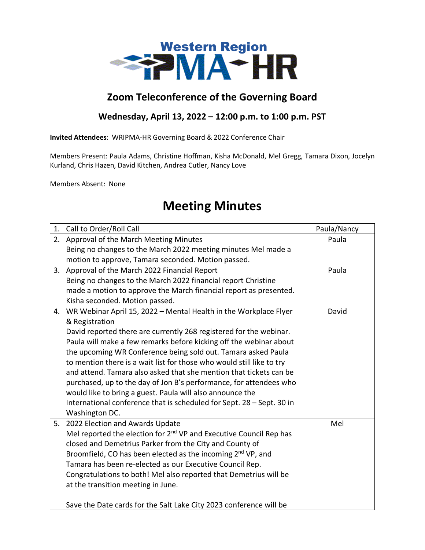

## **Zoom Teleconference of the Governing Board**

## **Wednesday, April 13, 2022 – 12:00 p.m. to 1:00 p.m. PST**

**Invited Attendees**: WRIPMA-HR Governing Board & 2022 Conference Chair

Members Present: Paula Adams, Christine Hoffman, Kisha McDonald, Mel Gregg, Tamara Dixon, Jocelyn Kurland, Chris Hazen, David Kitchen, Andrea Cutler, Nancy Love

Members Absent: None

## **Meeting Minutes**

| 1. | Call to Order/Roll Call                                                        | Paula/Nancy |
|----|--------------------------------------------------------------------------------|-------------|
| 2. | Approval of the March Meeting Minutes                                          | Paula       |
|    | Being no changes to the March 2022 meeting minutes Mel made a                  |             |
|    | motion to approve, Tamara seconded. Motion passed.                             |             |
| 3. | Approval of the March 2022 Financial Report                                    | Paula       |
|    | Being no changes to the March 2022 financial report Christine                  |             |
|    | made a motion to approve the March financial report as presented.              |             |
|    | Kisha seconded. Motion passed.                                                 |             |
|    | 4. WR Webinar April 15, 2022 - Mental Health in the Workplace Flyer            | David       |
|    | & Registration                                                                 |             |
|    | David reported there are currently 268 registered for the webinar.             |             |
|    | Paula will make a few remarks before kicking off the webinar about             |             |
|    | the upcoming WR Conference being sold out. Tamara asked Paula                  |             |
|    | to mention there is a wait list for those who would still like to try          |             |
|    | and attend. Tamara also asked that she mention that tickets can be             |             |
|    | purchased, up to the day of Jon B's performance, for attendees who             |             |
|    | would like to bring a guest. Paula will also announce the                      |             |
|    | International conference that is scheduled for Sept. 28 - Sept. 30 in          |             |
|    | Washington DC.                                                                 |             |
| 5. | 2022 Election and Awards Update                                                | Mel         |
|    | Mel reported the election for 2 <sup>nd</sup> VP and Executive Council Rep has |             |
|    | closed and Demetrius Parker from the City and County of                        |             |
|    | Broomfield, CO has been elected as the incoming 2 <sup>nd</sup> VP, and        |             |
|    | Tamara has been re-elected as our Executive Council Rep.                       |             |
|    | Congratulations to both! Mel also reported that Demetrius will be              |             |
|    | at the transition meeting in June.                                             |             |
|    | Save the Date cards for the Salt Lake City 2023 conference will be             |             |
|    |                                                                                |             |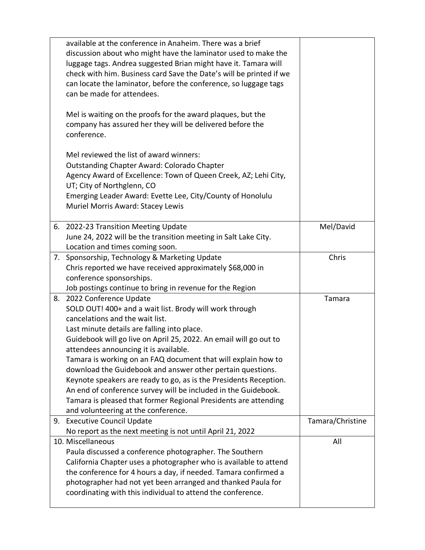|    | available at the conference in Anaheim. There was a brief<br>discussion about who might have the laminator used to make the<br>luggage tags. Andrea suggested Brian might have it. Tamara will<br>check with him. Business card Save the Date's will be printed if we<br>can locate the laminator, before the conference, so luggage tags<br>can be made for attendees.<br>Mel is waiting on the proofs for the award plaques, but the<br>company has assured her they will be delivered before the<br>conference.<br>Mel reviewed the list of award winners:<br><b>Outstanding Chapter Award: Colorado Chapter</b><br>Agency Award of Excellence: Town of Queen Creek, AZ; Lehi City,<br>UT; City of Northglenn, CO<br>Emerging Leader Award: Evette Lee, City/County of Honolulu<br>Muriel Morris Award: Stacey Lewis |                  |
|----|-------------------------------------------------------------------------------------------------------------------------------------------------------------------------------------------------------------------------------------------------------------------------------------------------------------------------------------------------------------------------------------------------------------------------------------------------------------------------------------------------------------------------------------------------------------------------------------------------------------------------------------------------------------------------------------------------------------------------------------------------------------------------------------------------------------------------|------------------|
|    | 6. 2022-23 Transition Meeting Update<br>June 24, 2022 will be the transition meeting in Salt Lake City.<br>Location and times coming soon.                                                                                                                                                                                                                                                                                                                                                                                                                                                                                                                                                                                                                                                                              | Mel/David        |
| 7. | Sponsorship, Technology & Marketing Update<br>Chris reported we have received approximately \$68,000 in<br>conference sponsorships.<br>Job postings continue to bring in revenue for the Region                                                                                                                                                                                                                                                                                                                                                                                                                                                                                                                                                                                                                         | Chris            |
| 8. | 2022 Conference Update<br>SOLD OUT! 400+ and a wait list. Brody will work through<br>cancelations and the wait list.<br>Last minute details are falling into place.<br>Guidebook will go live on April 25, 2022. An email will go out to<br>attendees announcing it is available.<br>Tamara is working on an FAQ document that will explain how to<br>download the Guidebook and answer other pertain questions.<br>Keynote speakers are ready to go, as is the Presidents Reception.<br>An end of conference survey will be included in the Guidebook.<br>Tamara is pleased that former Regional Presidents are attending<br>and volunteering at the conference.                                                                                                                                                       | Tamara           |
| 9. | <b>Executive Council Update</b><br>No report as the next meeting is not until April 21, 2022                                                                                                                                                                                                                                                                                                                                                                                                                                                                                                                                                                                                                                                                                                                            | Tamara/Christine |
|    | 10. Miscellaneous<br>Paula discussed a conference photographer. The Southern<br>California Chapter uses a photographer who is available to attend<br>the conference for 4 hours a day, if needed. Tamara confirmed a<br>photographer had not yet been arranged and thanked Paula for<br>coordinating with this individual to attend the conference.                                                                                                                                                                                                                                                                                                                                                                                                                                                                     | All              |